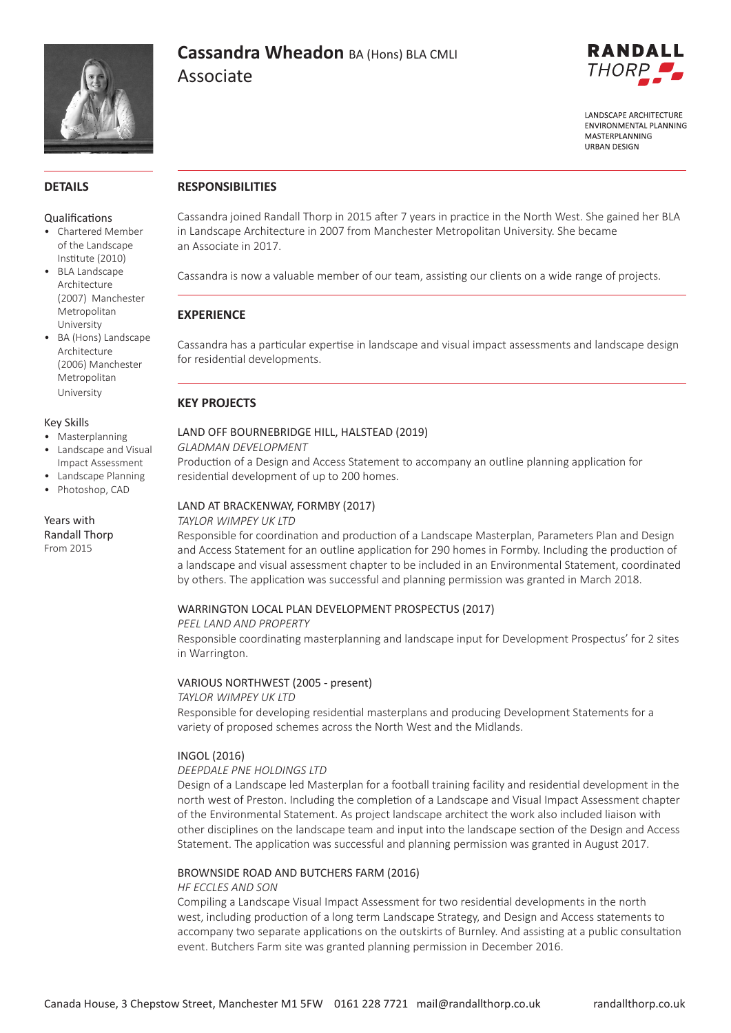

# **Cassandra Wheadon** BA (Hons) BLA CMLI Associate



**LANDSCAPE ARCHITECTURE FNVIRONMENTAL PLANNING** MASTERPLANNING **HRRAN DESIGN** 

### **DETAILS**

#### Qualifications

- Chartered Member of the Landscape Institute (2010)
- BLA Landscape Architecture (2007) Manchester Metropolitan University
- BA (Hons) Landscape Architecture (2006) Manchester Metropolitan University

#### Key Skills

- Masterplanning
- Landscape and Visual Impact Assessment
- Landscape Planning
- Photoshop, CAD

Years with Randall Thorp From 2015

## **RESPONSIBILITIES**

Cassandra joined Randall Thorp in 2015 after 7 years in practice in the North West. She gained her BLA in Landscape Architecture in 2007 from Manchester Metropolitan University. She became an Associate in 2017.

Cassandra is now a valuable member of our team, assisting our clients on a wide range of projects.

## **EXPERIENCE**

Cassandra has a particular expertise in landscape and visual impact assessments and landscape design for residential developments.

## **KEY PROJECTS**

## LAND OFF BOURNEBRIDGE HILL, HALSTEAD (2019)

*GLADMAN DEVELOPMENT*

Production of a Design and Access Statement to accompany an outline planning application for residential development of up to 200 homes.

### LAND AT BRACKENWAY, FORMBY (2017)

#### *TAYLOR WIMPEY UK LTD*

Responsible for coordination and production of a Landscape Masterplan, Parameters Plan and Design and Access Statement for an outline application for 290 homes in Formby. Including the production of a landscape and visual assessment chapter to be included in an Environmental Statement, coordinated by others. The application was successful and planning permission was granted in March 2018.

#### WARRINGTON LOCAL PLAN DEVELOPMENT PROSPECTUS (2017)

#### *PEEL LAND AND PROPERTY*

Responsible coordinating masterplanning and landscape input for Development Prospectus' for 2 sites in Warrington.

#### VARIOUS NORTHWEST (2005 - present)

*TAYLOR WIMPEY UK LTD* Responsible for developing residential masterplans and producing Development Statements for a variety of proposed schemes across the North West and the Midlands.

#### INGOL (2016)

#### *DEEPDALE PNE HOLDINGS LTD*

Design of a Landscape led Masterplan for a football training facility and residential development in the north west of Preston. Including the completion of a Landscape and Visual Impact Assessment chapter of the Environmental Statement. As project landscape architect the work also included liaison with other disciplines on the landscape team and input into the landscape section of the Design and Access Statement. The application was successful and planning permission was granted in August 2017.

#### BROWNSIDE ROAD AND BUTCHERS FARM (2016)

#### *HF ECCLES AND SON*

Compiling a Landscape Visual Impact Assessment for two residential developments in the north west, including production of a long term Landscape Strategy, and Design and Access statements to accompany two separate applications on the outskirts of Burnley. And assisting at a public consultation event. Butchers Farm site was granted planning permission in December 2016.